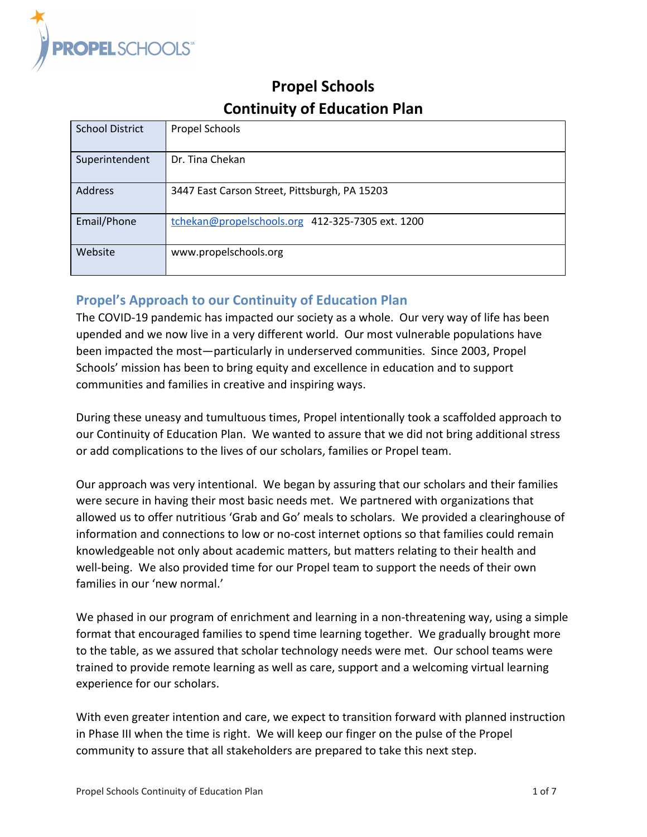

# **Propel Schools Continuity of Education Plan**

| <b>School District</b> | Propel Schools                                   |
|------------------------|--------------------------------------------------|
| Superintendent         | Dr. Tina Chekan                                  |
| <b>Address</b>         | 3447 East Carson Street, Pittsburgh, PA 15203    |
| Email/Phone            | tchekan@propelschools.org 412-325-7305 ext. 1200 |
| Website                | www.propelschools.org                            |

# **Propel's Approach to our Continuity of Education Plan**

The COVID-19 pandemic has impacted our society as a whole. Our very way of life has been upended and we now live in a very different world. Our most vulnerable populations have been impacted the most—particularly in underserved communities. Since 2003, Propel Schools' mission has been to bring equity and excellence in education and to support communities and families in creative and inspiring ways.

During these uneasy and tumultuous times, Propel intentionally took a scaffolded approach to our Continuity of Education Plan. We wanted to assure that we did not bring additional stress or add complications to the lives of our scholars, families or Propel team.

Our approach was very intentional. We began by assuring that our scholars and their families were secure in having their most basic needs met. We partnered with organizations that allowed us to offer nutritious 'Grab and Go' meals to scholars. We provided a clearinghouse of information and connections to low or no-cost internet options so that families could remain knowledgeable not only about academic matters, but matters relating to their health and well-being. We also provided time for our Propel team to support the needs of their own families in our 'new normal.'

We phased in our program of enrichment and learning in a non-threatening way, using a simple format that encouraged families to spend time learning together. We gradually brought more to the table, as we assured that scholar technology needs were met. Our school teams were trained to provide remote learning as well as care, support and a welcoming virtual learning experience for our scholars.

With even greater intention and care, we expect to transition forward with planned instruction in Phase III when the time is right. We will keep our finger on the pulse of the Propel community to assure that all stakeholders are prepared to take this next step.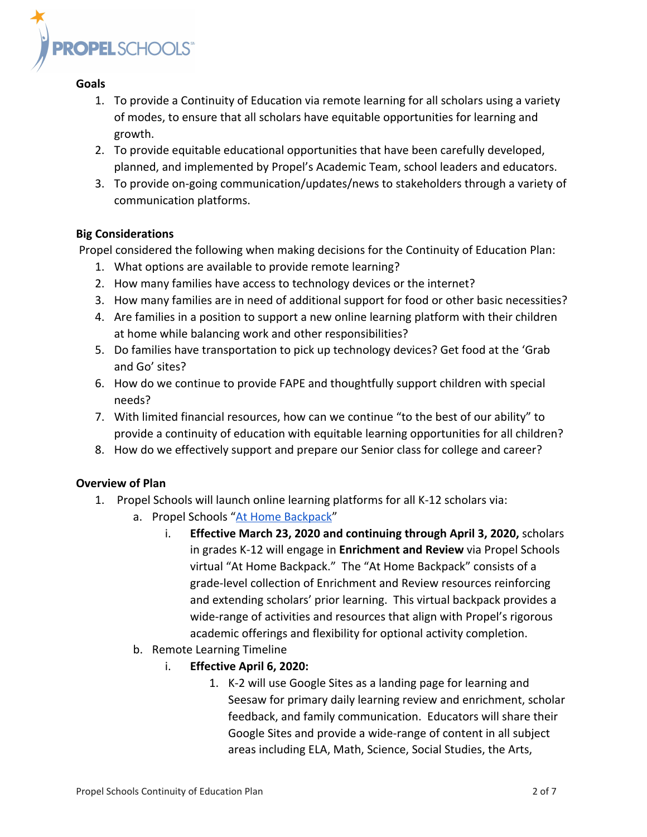

#### **Goals**

- 1. To provide a Continuity of Education via remote learning for all scholars using a variety of modes, to ensure that all scholars have equitable opportunities for learning and growth.
- 2. To provide equitable educational opportunities that have been carefully developed, planned, and implemented by Propel's Academic Team, school leaders and educators.
- 3. To provide on-going communication/updates/news to stakeholders through a variety of communication platforms.

#### **Big Considerations**

Propel considered the following when making decisions for the Continuity of Education Plan:

- 1. What options are available to provide remote learning?
- 2. How many families have access to technology devices or the internet?
- 3. How many families are in need of additional support for food or other basic necessities?
- 4. Are families in a position to support a new online learning platform with their children at home while balancing work and other responsibilities?
- 5. Do families have transportation to pick up technology devices? Get food at the 'Grab and Go' sites?
- 6. How do we continue to provide FAPE and thoughtfully support children with special needs?
- 7. With limited financial resources, how can we continue "to the best of our ability" to provide a continuity of education with equitable learning opportunities for all children?
- 8. How do we effectively support and prepare our Senior class for college and career?

### **Overview of Plan**

- 1. Propel Schools will launch online learning platforms for all K-12 scholars via:
	- a. Propel Schools "[At Home Backpack](https://sites.google.com/propelschools.org/athomebackpack/home)"
		- i. **Effective March 23, 2020 and continuing through April 3, 2020,** scholars in grades K-12 will engage in **Enrichment and Review** via Propel Schools virtual "At Home Backpack." The "At Home Backpack" consists of a grade-level collection of Enrichment and Review resources reinforcing and extending scholars' prior learning. This virtual backpack provides a wide-range of activities and resources that align with Propel's rigorous academic offerings and flexibility for optional activity completion.
	- b. Remote Learning Timeline
		- i. **Effective April 6, 2020:**
			- 1. K-2 will use Google Sites as a landing page for learning and Seesaw for primary daily learning review and enrichment, scholar feedback, and family communication. Educators will share their Google Sites and provide a wide-range of content in all subject areas including ELA, Math, Science, Social Studies, the Arts,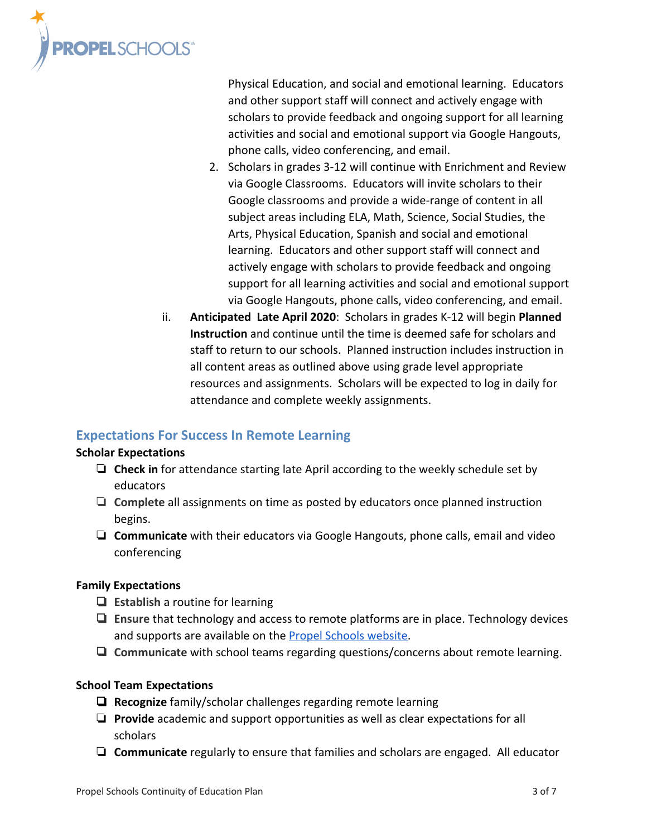

Physical Education, and social and emotional learning. Educators and other support staff will connect and actively engage with scholars to provide feedback and ongoing support for all learning activities and social and emotional support via Google Hangouts, phone calls, video conferencing, and email.

- 2. Scholars in grades 3-12 will continue with Enrichment and Review via Google Classrooms. Educators will invite scholars to their Google classrooms and provide a wide-range of content in all subject areas including ELA, Math, Science, Social Studies, the Arts, Physical Education, Spanish and social and emotional learning. Educators and other support staff will connect and actively engage with scholars to provide feedback and ongoing support for all learning activities and social and emotional support via Google Hangouts, phone calls, video conferencing, and email.
- ii. **Anticipated Late April 2020**: Scholars in grades K-12 will begin **Planned Instruction** and continue until the time is deemed safe for scholars and staff to return to our schools. Planned instruction includes instruction in all content areas as outlined above using grade level appropriate resources and assignments. Scholars will be expected to log in daily for attendance and complete weekly assignments.

### **Expectations For Success In Remote Learning**

#### **Scholar Expectations**

- ❏ **Check in** for attendance starting late April according to the weekly schedule set by educators
- ❏ **Complete** all assignments on time as posted by educators once planned instruction begins.
- ❏ **Communicate** with their educators via Google Hangouts, phone calls, email and video conferencing

### **Family Expectations**

- ❏ **Establish** a routine for learning
- ❏ **Ensure** that technology and access to remote platforms are in place. Technology devices and supports are available on the [Propel Schools website.](http://www.propelschools.org/coronavirus-resources/)
- ❏ **Communicate** with school teams regarding questions/concerns about remote learning.

### **School Team Expectations**

- ❏ **Recognize** family/scholar challenges regarding remote learning
- ❏ **Provide** academic and support opportunities as well as clear expectations for all scholars
- ❏ **Communicate** regularly to ensure that families and scholars are engaged. All educator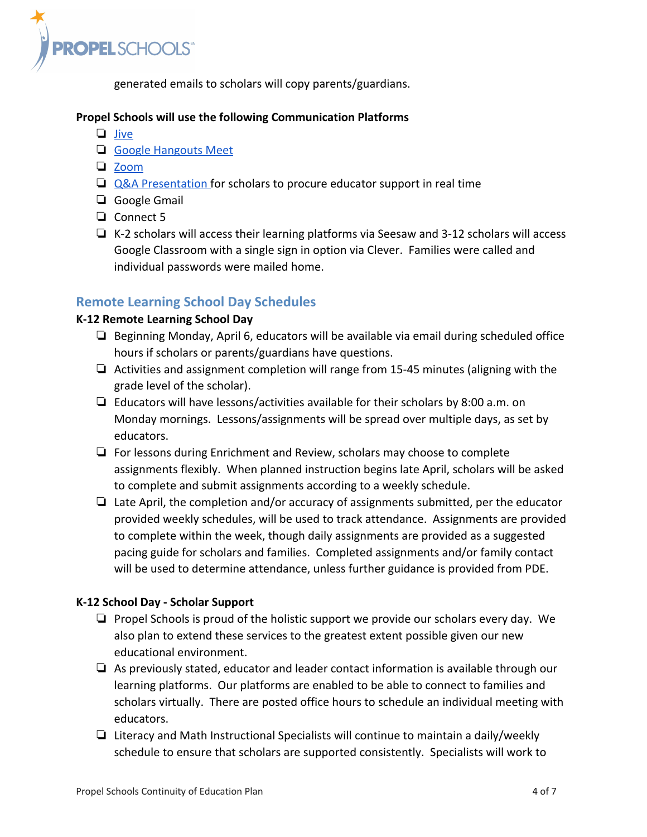

generated emails to scholars will copy parents/guardians.

#### **Propel Schools will use the following Communication Platforms**

- ❏ [Jive](https://jive.com/)
- ❏ [Google Hangouts Meet](https://teachercenter.withgoogle.com/first-day-trainings/welcome-to-google-hangouts-meet)
- ❏ [Zoom](https://zoom.us/docs/en-us/covid19.html)
- ❏ [Q&A Presentation f](https://support.google.com/a/users/answer/9308865)or scholars to procure educator support in real time
- ❏ Google Gmail
- ❏ Connect 5
- ❏ K-2 scholars will access their learning platforms via Seesaw and 3-12 scholars will access Google Classroom with a single sign in option via Clever. Families were called and individual passwords were mailed home.

### **Remote Learning School Day Schedules**

#### **K-12 Remote Learning School Day**

- ❏ Beginning Monday, April 6, educators will be available via email during scheduled office hours if scholars or parents/guardians have questions.
- ❏ Activities and assignment completion will range from 15-45 minutes (aligning with the grade level of the scholar).
- $\Box$  Educators will have lessons/activities available for their scholars by 8:00 a.m. on Monday mornings. Lessons/assignments will be spread over multiple days, as set by educators.
- ❏ For lessons during Enrichment and Review, scholars may choose to complete assignments flexibly. When planned instruction begins late April, scholars will be asked to complete and submit assignments according to a weekly schedule.
- ❏ Late April, the completion and/or accuracy of assignments submitted, per the educator provided weekly schedules, will be used to track attendance. Assignments are provided to complete within the week, though daily assignments are provided as a suggested pacing guide for scholars and families. Completed assignments and/or family contact will be used to determine attendance, unless further guidance is provided from PDE.

### **K-12 School Day - Scholar Support**

- ❏ Propel Schools is proud of the holistic support we provide our scholars every day. We also plan to extend these services to the greatest extent possible given our new educational environment.
- ❏ As previously stated, educator and leader contact information is available through our learning platforms. Our platforms are enabled to be able to connect to families and scholars virtually. There are posted office hours to schedule an individual meeting with educators.
- ❏ Literacy and Math Instructional Specialists will continue to maintain a daily/weekly schedule to ensure that scholars are supported consistently. Specialists will work to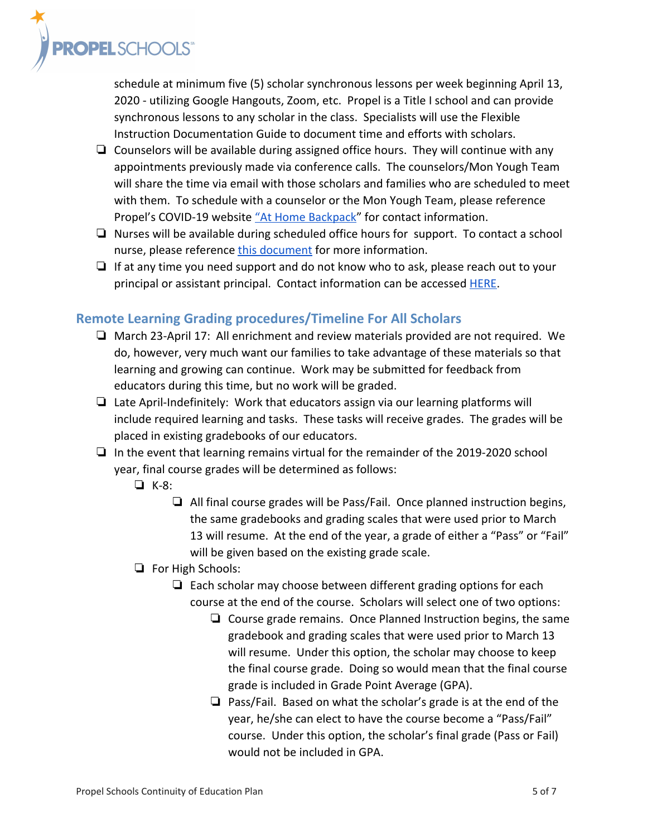

schedule at minimum five (5) scholar synchronous lessons per week beginning April 13, 2020 - utilizing Google Hangouts, Zoom, etc. Propel is a Title I school and can provide synchronous lessons to any scholar in the class. Specialists will use the Flexible Instruction Documentation Guide to document time and efforts with scholars.

- $\Box$  Counselors will be available during assigned office hours. They will continue with any appointments previously made via conference calls. The counselors/Mon Yough Team will share the time via email with those scholars and families who are scheduled to meet with them. To schedule with a counselor or the Mon Yough Team, please reference Propel's COVID-19 website ["At Home Backpack"](https://sites.google.com/propelschools.org/athomebackpack/home) for contact information.
- ❏ Nurses will be available during scheduled office hours for support. To contact a school nurse, please reference [this document](https://docs.google.com/document/d/1tFstu3OwtCjP7kOFBUq96tLMBawf4nMExNhN3Fx4kyg/edit?usp=sharing) for more information.
- ❏ If at any time you need support and do not know who to ask, please reach out to your principal or assistant principal. Contact information can be accessed **[HERE](https://drive.google.com/file/d/1RrAJR1re0yqGMjum2fZ66y-eVSB5FSSl/view?usp=sharing)**.

# **Remote Learning Grading procedures/Timeline For All Scholars**

- ❏ March 23-April 17: All enrichment and review materials provided are not required. We do, however, very much want our families to take advantage of these materials so that learning and growing can continue. Work may be submitted for feedback from educators during this time, but no work will be graded.
- $\Box$  Late April-Indefinitely: Work that educators assign via our learning platforms will include required learning and tasks. These tasks will receive grades. The grades will be placed in existing gradebooks of our educators.
- ❏ In the event that learning remains virtual for the remainder of the 2019-2020 school year, final course grades will be determined as follows:
	- ❏ K-8:
		- ❏ All final course grades will be Pass/Fail. Once planned instruction begins, the same gradebooks and grading scales that were used prior to March 13 will resume. At the end of the year, a grade of either a "Pass" or "Fail" will be given based on the existing grade scale.

### ❏ For High Schools:

- ❏ Each scholar may choose between different grading options for each course at the end of the course. Scholars will select one of two options:
	- ❏ Course grade remains. Once Planned Instruction begins, the same gradebook and grading scales that were used prior to March 13 will resume. Under this option, the scholar may choose to keep the final course grade. Doing so would mean that the final course grade is included in Grade Point Average (GPA).
	- ❏ Pass/Fail. Based on what the scholar's grade is at the end of the year, he/she can elect to have the course become a "Pass/Fail" course. Under this option, the scholar's final grade (Pass or Fail) would not be included in GPA.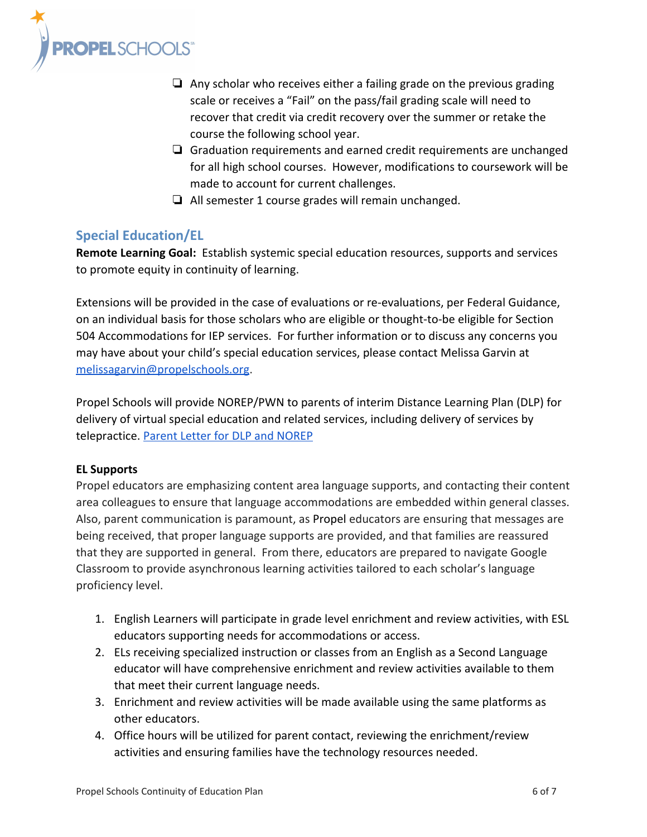

- ❏ Any scholar who receives either a failing grade on the previous grading scale or receives a "Fail" on the pass/fail grading scale will need to recover that credit via credit recovery over the summer or retake the course the following school year.
- ❏ Graduation requirements and earned credit requirements are unchanged for all high school courses. However, modifications to coursework will be made to account for current challenges.
- ❏ All semester 1 course grades will remain unchanged.

# **Special Education/EL**

**Remote Learning Goal:** Establish systemic special education resources, supports and services to promote equity in continuity of learning.

Extensions will be provided in the case of evaluations or re-evaluations, per Federal Guidance, on an individual basis for those scholars who are eligible or thought-to-be eligible for Section 504 Accommodations for IEP services. For further information or to discuss any concerns you may have about your child's special education services, please contact Melissa Garvin at [melissagarvin@propelschools.org](mailto:melissagarvin@propelschools.org).

Propel Schools will provide NOREP/PWN to parents of interim Distance Learning Plan (DLP) for delivery of virtual special education and related services, including delivery of services by telepractice. [Parent Letter for DLP and NOREP](https://drive.google.com/open?id=1tdeh3A3oSYQG9wErYBYImx6hFZB8_fOu)

### **EL Supports**

Propel educators are emphasizing content area language supports, and contacting their content area colleagues to ensure that language accommodations are embedded within general classes. Also, parent communication is paramount, as Propel educators are ensuring that messages are being received, that proper language supports are provided, and that families are reassured that they are supported in general. From there, educators are prepared to navigate Google Classroom to provide asynchronous learning activities tailored to each scholar's language proficiency level.

- 1. English Learners will participate in grade level enrichment and review activities, with ESL educators supporting needs for accommodations or access.
- 2. ELs receiving specialized instruction or classes from an English as a Second Language educator will have comprehensive enrichment and review activities available to them that meet their current language needs.
- 3. Enrichment and review activities will be made available using the same platforms as other educators.
- 4. Office hours will be utilized for parent contact, reviewing the enrichment/review activities and ensuring families have the technology resources needed.